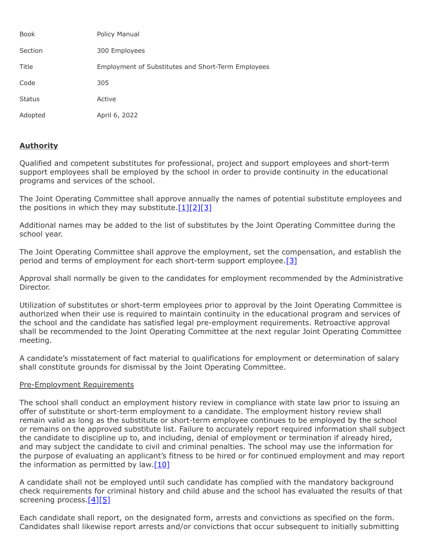| <b>Book</b>   | Policy Manual                                             |
|---------------|-----------------------------------------------------------|
| Section       | 300 Employees                                             |
| Title         | <b>Employment of Substitutes and Short-Term Employees</b> |
| Code          | 305                                                       |
| <b>Status</b> | Active                                                    |
| Adopted       | April 6, 2022                                             |

## **Authority**

Qualified and competent substitutes for professional, project and support employees and short-term support employees shall be employed by the school in order to provide continuity in the educational programs and services of the school.

The Joint Operating Committee shall approve annually the names of potential substitute employees and the positions in which they may substitute. $[1][2][3]$  $[1][2][3]$  $[1][2][3]$ 

Additional names may be added to the list of substitutes by the Joint Operating Committee during the school year.

The Joint Operating Committee shall approve the employment, set the compensation, and establish the period and terms of employment for each short-term support employee[.\[3\]](http://www.legis.state.pa.us/cfdocs/legis/LI/uconsCheck.cfm?txtType=HTM&yr=1949&sessInd=0&smthLwInd=0&act=14&chpt=18&sctn=50&subsctn=1)

Approval shall normally be given to the candidates for employment recommended by the Administrative Director.

Utilization of substitutes or short-term employees prior to approval by the Joint Operating Committee is authorized when their use is required to maintain continuity in the educational program and services of the school and the candidate has satisfied legal pre-employment requirements. Retroactive approval shall be recommended to the Joint Operating Committee at the next regular Joint Operating Committee meeting.

A candidate's misstatement of fact material to qualifications for employment or determination of salary shall constitute grounds for dismissal by the Joint Operating Committee.

## Pre-Employment Requirements

The school shall conduct an employment history review in compliance with state law prior to issuing an offer of substitute or short-term employment to a candidate. The employment history review shall remain valid as long as the substitute or short-term employee continues to be employed by the school or remains on the approved substitute list. Failure to accurately report required information shall subject the candidate to discipline up to, and including, denial of employment or termination if already hired, and may subject the candidate to civil and criminal penalties. The school may use the information for the purpose of evaluating an applicant's fitness to be hired or for continued employment and may report the information as permitted by law. $[10]$ 

A candidate shall not be employed until such candidate has complied with the mandatory background check requirements for criminal history and child abuse and the school has evaluated the results of that screening process[.\[4\]](http://www.legis.state.pa.us/cfdocs/legis/LI/uconsCheck.cfm?txtType=HTM&yr=1949&sessInd=0&smthLwInd=0&act=14&chpt=1&sctn=11&subsctn=0)[\[5\]](http://www.legis.state.pa.us/cfdocs/legis/LI/consCheck.cfm?txtType=HTM&ttl=23&div=0&chpt=63&sctn=44&subsctn=0)

Each candidate shall report, on the designated form, arrests and convictions as specified on the form. Candidates shall likewise report arrests and/or convictions that occur subsequent to initially submitting